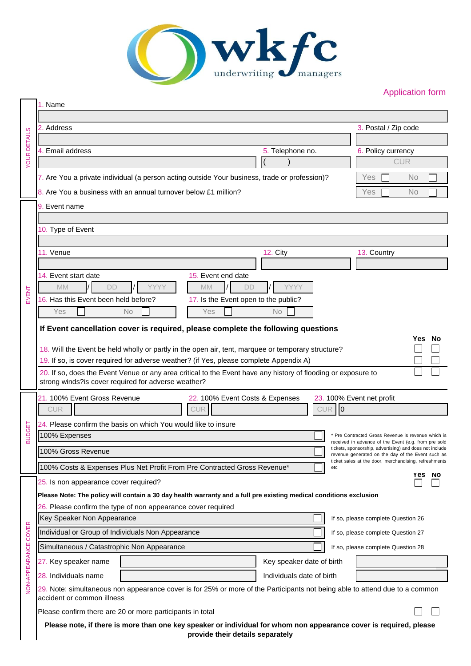

# Application form

|                      | 1. Name                                                                                                                                                              |                                                                                                                                                                      |                                                  |  |  |  |  |
|----------------------|----------------------------------------------------------------------------------------------------------------------------------------------------------------------|----------------------------------------------------------------------------------------------------------------------------------------------------------------------|--------------------------------------------------|--|--|--|--|
|                      | 2. Address                                                                                                                                                           | 3. Postal / Zip code                                                                                                                                                 |                                                  |  |  |  |  |
| <b>YOUR DETAILS</b>  |                                                                                                                                                                      |                                                                                                                                                                      |                                                  |  |  |  |  |
|                      | 4. Email address                                                                                                                                                     | 5. Telephone no.                                                                                                                                                     | 6. Policy currency                               |  |  |  |  |
|                      |                                                                                                                                                                      |                                                                                                                                                                      | <b>CUR</b>                                       |  |  |  |  |
|                      | 7. Are You a private individual (a person acting outside Your business, trade or profession)?                                                                        |                                                                                                                                                                      | Yes<br>No.                                       |  |  |  |  |
|                      | 8. Are You a business with an annual turnover below £1 million?                                                                                                      |                                                                                                                                                                      | No<br>Yes                                        |  |  |  |  |
|                      | 9. Event name                                                                                                                                                        |                                                                                                                                                                      |                                                  |  |  |  |  |
|                      |                                                                                                                                                                      |                                                                                                                                                                      |                                                  |  |  |  |  |
|                      | 10. Type of Event                                                                                                                                                    |                                                                                                                                                                      |                                                  |  |  |  |  |
|                      | 11. Venue                                                                                                                                                            | 12. City                                                                                                                                                             | 13. Country                                      |  |  |  |  |
|                      |                                                                                                                                                                      |                                                                                                                                                                      |                                                  |  |  |  |  |
|                      | 14. Event start date<br>15. Event end date                                                                                                                           |                                                                                                                                                                      |                                                  |  |  |  |  |
| EVENT                | <b>MM</b><br><b>MM</b><br><b>DD</b><br><b>DD</b>                                                                                                                     | <b>YYYY</b>                                                                                                                                                          |                                                  |  |  |  |  |
|                      | 16. Has this Event been held before?<br>17. Is the Event open to the public?                                                                                         |                                                                                                                                                                      |                                                  |  |  |  |  |
|                      | Yes<br>No<br>Yes                                                                                                                                                     | <b>No</b>                                                                                                                                                            |                                                  |  |  |  |  |
|                      | If Event cancellation cover is required, please complete the following questions<br>Yes No                                                                           |                                                                                                                                                                      |                                                  |  |  |  |  |
|                      | 18. Will the Event be held wholly or partly in the open air, tent, marquee or temporary structure?                                                                   |                                                                                                                                                                      |                                                  |  |  |  |  |
|                      | 19. If so, is cover required for adverse weather? (if Yes, please complete Appendix A)                                                                               |                                                                                                                                                                      |                                                  |  |  |  |  |
|                      | 20. If so, does the Event Venue or any area critical to the Event have any history of flooding or exposure to<br>strong winds?is cover required for adverse weather? |                                                                                                                                                                      |                                                  |  |  |  |  |
|                      |                                                                                                                                                                      |                                                                                                                                                                      |                                                  |  |  |  |  |
|                      | 21. 100% Event Gross Revenue<br>22. 100% Event Costs & Expenses<br><b>CUR</b>                                                                                        | <b>CUR</b>                                                                                                                                                           | 23. 100% Event net profit<br>$\overline{0}$      |  |  |  |  |
|                      | 24. Please confirm the basis on which You would like to insure                                                                                                       |                                                                                                                                                                      |                                                  |  |  |  |  |
| <b>BUDGET</b>        | 100% Expenses                                                                                                                                                        |                                                                                                                                                                      | Pre Contracted Gross Revenue is revenue which is |  |  |  |  |
|                      | 100% Gross Revenue                                                                                                                                                   | received in advance of the Event (e.g. from pre sold<br>tickets, sponsorship, advertising) and does not include<br>revenue generated on the day of the Event such as |                                                  |  |  |  |  |
|                      | 100% Costs & Expenses Plus Net Profit From Pre Contracted Gross Revenue*                                                                                             | ticket sales at the door, merchandising, refreshments<br>etc                                                                                                         |                                                  |  |  |  |  |
|                      | Yes<br>25. Is non appearance cover required?                                                                                                                         |                                                                                                                                                                      |                                                  |  |  |  |  |
|                      | Please Note: The policy will contain a 30 day health warranty and a full pre existing medical conditions exclusion                                                   |                                                                                                                                                                      |                                                  |  |  |  |  |
|                      | 26. Please confirm the type of non appearance cover required                                                                                                         |                                                                                                                                                                      |                                                  |  |  |  |  |
|                      | Key Speaker Non Appearance                                                                                                                                           |                                                                                                                                                                      | If so, please complete Question 26               |  |  |  |  |
|                      | Individual or Group of Individuals Non Appearance                                                                                                                    |                                                                                                                                                                      | If so, please complete Question 27               |  |  |  |  |
| NON-APPEARANCE COVER | Simultaneous / Catastrophic Non Appearance                                                                                                                           | If so, please complete Question 28                                                                                                                                   |                                                  |  |  |  |  |
|                      | 27. Key speaker name                                                                                                                                                 | Key speaker date of birth                                                                                                                                            |                                                  |  |  |  |  |
|                      | 28. Individuals name                                                                                                                                                 | Individuals date of birth                                                                                                                                            |                                                  |  |  |  |  |
|                      | 29. Note: simultaneous non appearance cover is for 25% or more of the Participants not being able to attend due to a common<br>accident or common illness            |                                                                                                                                                                      |                                                  |  |  |  |  |
|                      | Please confirm there are 20 or more participants in total                                                                                                            |                                                                                                                                                                      |                                                  |  |  |  |  |
|                      | Please note, if there is more than one key speaker or individual for whom non appearance cover is required, please<br>provide their details separately               |                                                                                                                                                                      |                                                  |  |  |  |  |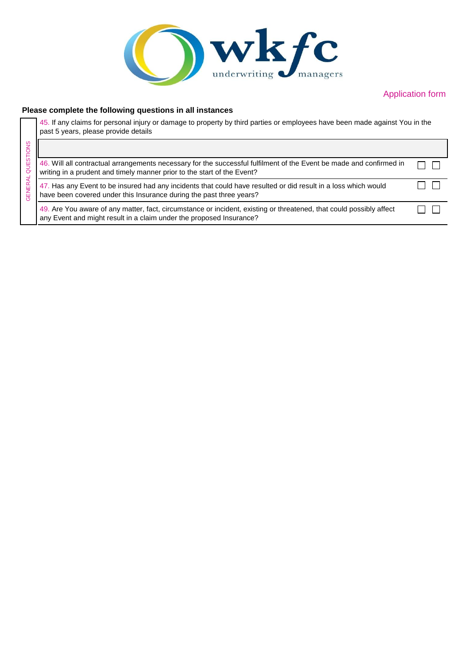

### Application form

#### **Please complete the following questions in all instances**

45. If any claims for personal injury or damage to property by third parties or employees have been made against You in the past 5 years, please provide details

| Ò٥<br>GENEI |                                                                                                                                                                                                |  |
|-------------|------------------------------------------------------------------------------------------------------------------------------------------------------------------------------------------------|--|
|             | 46. Will all contractual arrangements necessary for the successful fulfilment of the Event be made and confirmed in<br>writing in a prudent and timely manner prior to the start of the Event? |  |
|             | 47. Has any Event to be insured had any incidents that could have resulted or did result in a loss which would<br>have been covered under this Insurance during the past three years?          |  |
|             | 49. Are You aware of any matter, fact, circumstance or incident, existing or threatened, that could possibly affect<br>any Event and might result in a claim under the proposed Insurance?     |  |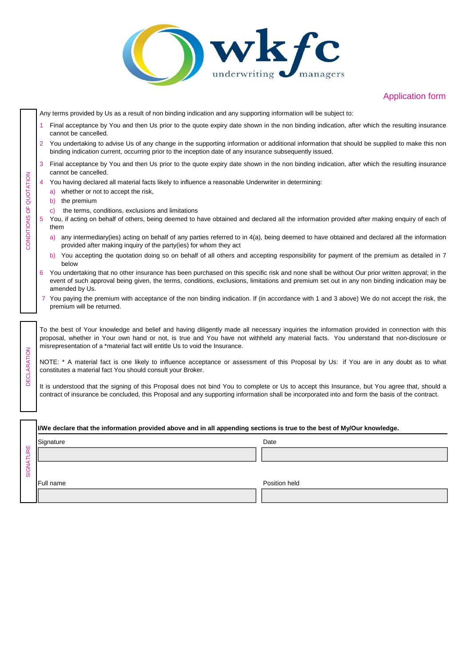

## Application form

|                         |                                                                                                                                                                                                                                                                                                                     | Any terms provided by Us as a result of non binding indication and any supporting information will be subject to:                                                                                                                                                                                                                                                      |  |  |  |  |
|-------------------------|---------------------------------------------------------------------------------------------------------------------------------------------------------------------------------------------------------------------------------------------------------------------------------------------------------------------|------------------------------------------------------------------------------------------------------------------------------------------------------------------------------------------------------------------------------------------------------------------------------------------------------------------------------------------------------------------------|--|--|--|--|
|                         |                                                                                                                                                                                                                                                                                                                     | Final acceptance by You and then Us prior to the quote expiry date shown in the non binding indication, after which the resulting insurance<br>cannot be cancelled.                                                                                                                                                                                                    |  |  |  |  |
|                         | 2                                                                                                                                                                                                                                                                                                                   | You undertaking to advise Us of any change in the supporting information or additional information that should be supplied to make this non<br>binding indication current, occurring prior to the inception date of any insurance subsequently issued.                                                                                                                 |  |  |  |  |
|                         | 3                                                                                                                                                                                                                                                                                                                   | Final acceptance by You and then Us prior to the quote expiry date shown in the non binding indication, after which the resulting insurance<br>cannot be cancelled.                                                                                                                                                                                                    |  |  |  |  |
|                         |                                                                                                                                                                                                                                                                                                                     | You having declared all material facts likely to influence a reasonable Underwriter in determining:                                                                                                                                                                                                                                                                    |  |  |  |  |
|                         |                                                                                                                                                                                                                                                                                                                     | whether or not to accept the risk,<br>a)                                                                                                                                                                                                                                                                                                                               |  |  |  |  |
|                         |                                                                                                                                                                                                                                                                                                                     | the premium<br>b)                                                                                                                                                                                                                                                                                                                                                      |  |  |  |  |
|                         |                                                                                                                                                                                                                                                                                                                     | the terms, conditions, exclusions and limitations<br>C)                                                                                                                                                                                                                                                                                                                |  |  |  |  |
| CONDITIONS OF QUOTATION | 5                                                                                                                                                                                                                                                                                                                   | You, if acting on behalf of others, being deemed to have obtained and declared all the information provided after making enquiry of each of<br>them                                                                                                                                                                                                                    |  |  |  |  |
|                         |                                                                                                                                                                                                                                                                                                                     | a) any intermediary (ies) acting on behalf of any parties referred to in $4(a)$ , being deemed to have obtained and declared all the information<br>provided after making inquiry of the party(ies) for whom they act                                                                                                                                                  |  |  |  |  |
|                         |                                                                                                                                                                                                                                                                                                                     | b) You accepting the quotation doing so on behalf of all others and accepting responsibility for payment of the premium as detailed in 7<br>below                                                                                                                                                                                                                      |  |  |  |  |
|                         | You undertaking that no other insurance has been purchased on this specific risk and none shall be without Our prior written approval; in the<br>6<br>event of such approval being given, the terms, conditions, exclusions, limitations and premium set out in any non binding indication may be<br>amended by Us. |                                                                                                                                                                                                                                                                                                                                                                        |  |  |  |  |
|                         |                                                                                                                                                                                                                                                                                                                     | 7 You paying the premium with acceptance of the non binding indication. If (in accordance with 1 and 3 above) We do not accept the risk, the<br>premium will be returned.                                                                                                                                                                                              |  |  |  |  |
|                         |                                                                                                                                                                                                                                                                                                                     |                                                                                                                                                                                                                                                                                                                                                                        |  |  |  |  |
| <b>DECLARATION</b>      |                                                                                                                                                                                                                                                                                                                     | To the best of Your knowledge and belief and having diligently made all necessary inquiries the information provided in connection with this<br>proposal, whether in Your own hand or not, is true and You have not withheld any material facts. You understand that non-disclosure or<br>misrepresentation of a *material fact will entitle Us to void the Insurance. |  |  |  |  |
|                         | NOTE: * A material fact is one likely to influence acceptance or assessment of this Proposal by Us: if You are in any doubt as to what<br>constitutes a material fact You should consult your Broker.                                                                                                               |                                                                                                                                                                                                                                                                                                                                                                        |  |  |  |  |
|                         | It is understood that the signing of this Proposal does not bind You to complete or Us to accept this Insurance, but You agree that, should a<br>contract of insurance be concluded, this Proposal and any supporting information shall be incorporated into and form the basis of the contract.                    |                                                                                                                                                                                                                                                                                                                                                                        |  |  |  |  |
|                         |                                                                                                                                                                                                                                                                                                                     |                                                                                                                                                                                                                                                                                                                                                                        |  |  |  |  |
|                         |                                                                                                                                                                                                                                                                                                                     |                                                                                                                                                                                                                                                                                                                                                                        |  |  |  |  |
|                         | I/We declare that the information provided above and in all appending sections is true to the best of My/Our knowledge.                                                                                                                                                                                             |                                                                                                                                                                                                                                                                                                                                                                        |  |  |  |  |
|                         |                                                                                                                                                                                                                                                                                                                     | Signature<br>Date                                                                                                                                                                                                                                                                                                                                                      |  |  |  |  |
|                         |                                                                                                                                                                                                                                                                                                                     |                                                                                                                                                                                                                                                                                                                                                                        |  |  |  |  |
|                         |                                                                                                                                                                                                                                                                                                                     |                                                                                                                                                                                                                                                                                                                                                                        |  |  |  |  |
| <b>SIGNATURE</b>        |                                                                                                                                                                                                                                                                                                                     |                                                                                                                                                                                                                                                                                                                                                                        |  |  |  |  |
|                         |                                                                                                                                                                                                                                                                                                                     | Full name<br>Position held                                                                                                                                                                                                                                                                                                                                             |  |  |  |  |
|                         |                                                                                                                                                                                                                                                                                                                     |                                                                                                                                                                                                                                                                                                                                                                        |  |  |  |  |